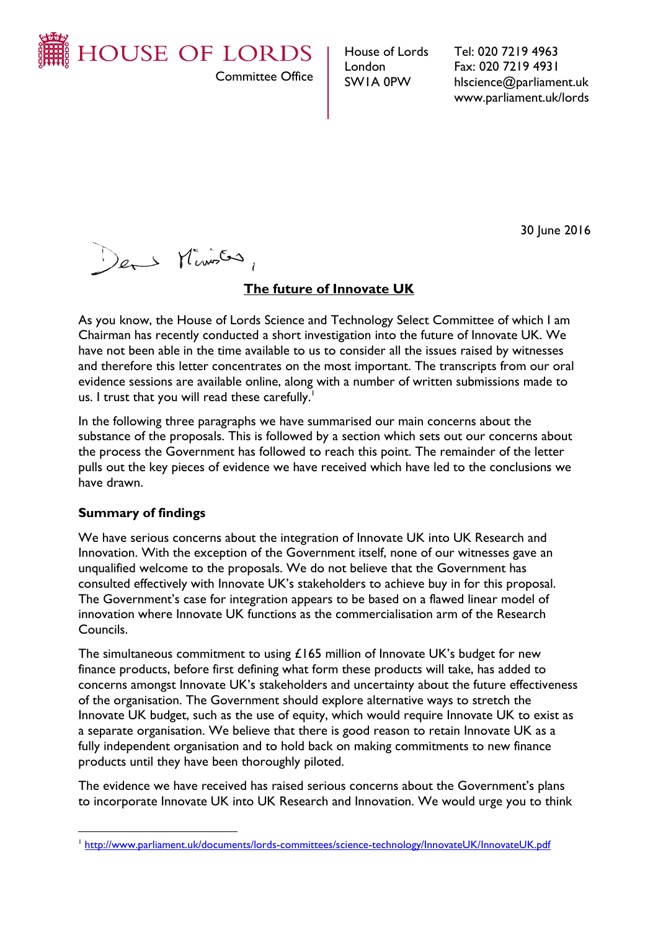

Committee Office

House of Lords London SW1A 0PW

Tel: 020 7219 4963 Fax: 020 7219 4931 hlscience@parliament.uk www.parliament.uk/lords

30 June 2016

Der Ministra,

# **The future of Innovate UK**

As you know, the House of Lords Science and Technology Select Committee of which I am Chairman has recently conducted a short investigation into the future of Innovate UK. We have not been able in the time available to us to consider all the issues raised by witnesses and therefore this letter concentrates on the most important. The transcripts from our oral evidence sessions are available online, along with a number of written submissions made to us. I trust that you will read these carefully.<sup>1</sup>

In the following three paragraphs we have summarised our main concerns about the substance of the proposals. This is followed by a section which sets out our concerns about the process the Government has followed to reach this point. The remainder of the letter pulls out the key pieces of evidence we have received which have led to the conclusions we have drawn.

# **Summary of findings**

 $\overline{a}$ 

We have serious concerns about the integration of Innovate UK into UK Research and Innovation. With the exception of the Government itself, none of our witnesses gave an unqualified welcome to the proposals. We do not believe that the Government has consulted effectively with Innovate UK's stakeholders to achieve buy in for this proposal. The Government's case for integration appears to be based on a flawed linear model of innovation where Innovate UK functions as the commercialisation arm of the Research Councils.

The simultaneous commitment to using  $£165$  million of Innovate UK's budget for new finance products, before first defining what form these products will take, has added to concerns amongst Innovate UK's stakeholders and uncertainty about the future effectiveness of the organisation. The Government should explore alternative ways to stretch the Innovate UK budget, such as the use of equity, which would require Innovate UK to exist as a separate organisation. We believe that there is good reason to retain Innovate UK as a fully independent organisation and to hold back on making commitments to new finance products until they have been thoroughly piloted.

The evidence we have received has raised serious concerns about the Government's plans to incorporate Innovate UK into UK Research and Innovation. We would urge you to think

<sup>&</sup>lt;sup>1</sup><http://www.parliament.uk/documents/lords-committees/science-technology/InnovateUK/InnovateUK.pdf>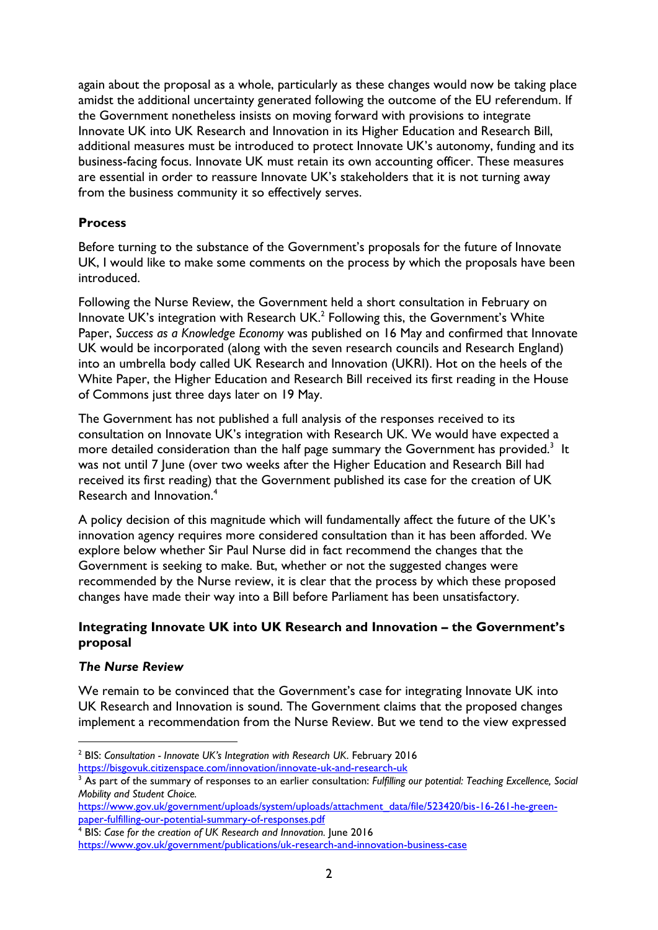again about the proposal as a whole, particularly as these changes would now be taking place amidst the additional uncertainty generated following the outcome of the EU referendum. If the Government nonetheless insists on moving forward with provisions to integrate Innovate UK into UK Research and Innovation in its Higher Education and Research Bill, additional measures must be introduced to protect Innovate UK's autonomy, funding and its business-facing focus. Innovate UK must retain its own accounting officer. These measures are essential in order to reassure Innovate UK's stakeholders that it is not turning away from the business community it so effectively serves.

# **Process**

Before turning to the substance of the Government's proposals for the future of Innovate UK, I would like to make some comments on the process by which the proposals have been introduced.

Following the Nurse Review, the Government held a short consultation in February on Innovate UK's integration with Research UK. $^2$  Following this, the Government's White Paper, *Success as a Knowledge Economy* was published on 16 May and confirmed that Innovate UK would be incorporated (along with the seven research councils and Research England) into an umbrella body called UK Research and Innovation (UKRI). Hot on the heels of the White Paper, the Higher Education and Research Bill received its first reading in the House of Commons just three days later on 19 May.

The Government has not published a full analysis of the responses received to its consultation on Innovate UK's integration with Research UK. We would have expected a more detailed consideration than the half page summary the Government has provided. $^3\,$  It was not until 7 June (over two weeks after the Higher Education and Research Bill had received its first reading) that the Government published its case for the creation of UK Research and Innovation.<sup>4</sup>

A policy decision of this magnitude which will fundamentally affect the future of the UK's innovation agency requires more considered consultation than it has been afforded. We explore below whether Sir Paul Nurse did in fact recommend the changes that the Government is seeking to make. But, whether or not the suggested changes were recommended by the Nurse review, it is clear that the process by which these proposed changes have made their way into a Bill before Parliament has been unsatisfactory.

# **Integrating Innovate UK into UK Research and Innovation – the Government's proposal**

# *The Nurse Review*

 $\overline{a}$ 

We remain to be convinced that the Government's case for integrating Innovate UK into UK Research and Innovation is sound. The Government claims that the proposed changes implement a recommendation from the Nurse Review. But we tend to the view expressed

<sup>2</sup> BIS: *Consultation - Innovate UK's Integration with Research UK*. February 2016 <https://bisgovuk.citizenspace.com/innovation/innovate-uk-and-research-uk>

<sup>&</sup>lt;sup>3</sup> As part of the summary of responses to an earlier consultation: *Fulfilling our potential: Teaching Excellence, Social Mobility and Student Choice.*

[https://www.gov.uk/government/uploads/system/uploads/attachment\\_data/file/523420/bis-16-261-he-green](https://www.gov.uk/government/uploads/system/uploads/attachment_data/file/523420/bis-16-261-he-green-paper-fulfilling-our-potential-summary-of-responses.pdf)[paper-fulfilling-our-potential-summary-of-responses.pdf](https://www.gov.uk/government/uploads/system/uploads/attachment_data/file/523420/bis-16-261-he-green-paper-fulfilling-our-potential-summary-of-responses.pdf)

<sup>4</sup> BIS: *Case for the creation of UK Research and Innovation.* June 2016 <https://www.gov.uk/government/publications/uk-research-and-innovation-business-case>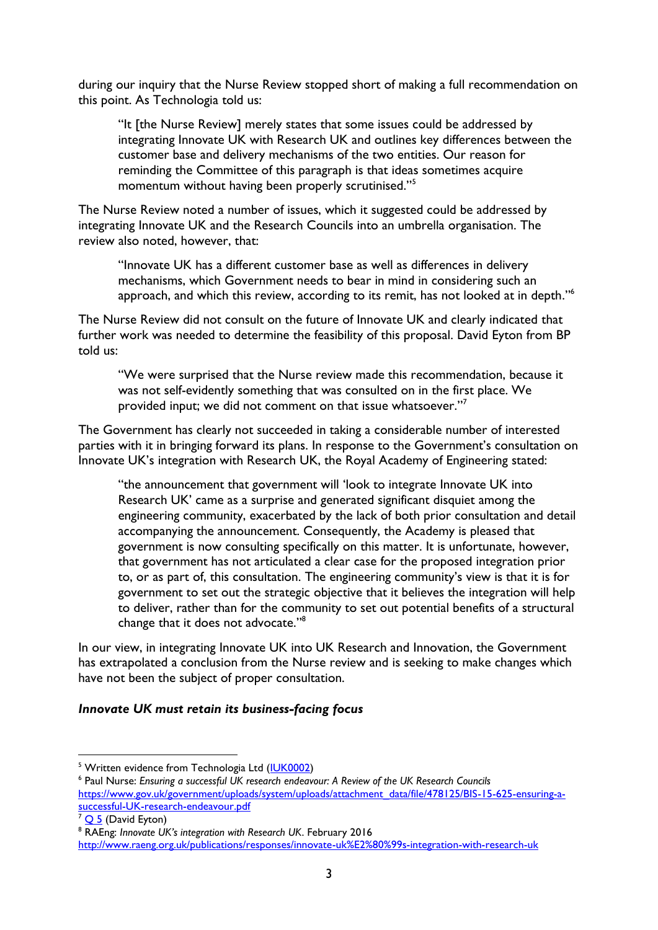during our inquiry that the Nurse Review stopped short of making a full recommendation on this point. As Technologia told us:

"It [the Nurse Review] merely states that some issues could be addressed by integrating Innovate UK with Research UK and outlines key differences between the customer base and delivery mechanisms of the two entities. Our reason for reminding the Committee of this paragraph is that ideas sometimes acquire momentum without having been properly scrutinised."<sup>5</sup>

The Nurse Review noted a number of issues, which it suggested could be addressed by integrating Innovate UK and the Research Councils into an umbrella organisation. The review also noted, however, that:

"Innovate UK has a different customer base as well as differences in delivery mechanisms, which Government needs to bear in mind in considering such an approach, and which this review, according to its remit, has not looked at in depth." 6

The Nurse Review did not consult on the future of Innovate UK and clearly indicated that further work was needed to determine the feasibility of this proposal. David Eyton from BP told us:

"We were surprised that the Nurse review made this recommendation, because it was not self-evidently something that was consulted on in the first place. We provided input; we did not comment on that issue whatsoever."<sup>7</sup>

The Government has clearly not succeeded in taking a considerable number of interested parties with it in bringing forward its plans. In response to the Government's consultation on Innovate UK's integration with Research UK, the Royal Academy of Engineering stated:

"the announcement that government will 'look to integrate Innovate UK into Research UK' came as a surprise and generated significant disquiet among the engineering community, exacerbated by the lack of both prior consultation and detail accompanying the announcement. Consequently, the Academy is pleased that government is now consulting specifically on this matter. It is unfortunate, however, that government has not articulated a clear case for the proposed integration prior to, or as part of, this consultation. The engineering community's view is that it is for government to set out the strategic objective that it believes the integration will help to deliver, rather than for the community to set out potential benefits of a structural change that it does not advocate."<sup>8</sup>

In our view, in integrating Innovate UK into UK Research and Innovation, the Government has extrapolated a conclusion from the Nurse review and is seeking to make changes which have not been the subject of proper consultation.

#### *Innovate UK must retain its business-facing focus*

<sup>&</sup>lt;sup>5</sup> Written evidence from Technologia Ltd [\(IUK0002\)](http://data.parliament.uk/writtenevidence/committeeevidence.svc/evidencedocument/science-and-technology-committee-lords/future-of-innovate-uk/written/34243.html)

<sup>6</sup> Paul Nurse: *Ensuring a successful UK research endeavour: A Review of the UK Research Councils* [https://www.gov.uk/government/uploads/system/uploads/attachment\\_data/file/478125/BIS-15-625-ensuring-a](https://www.gov.uk/government/uploads/system/uploads/attachment_data/file/478125/BIS-15-625-ensuring-a-successful-UK-research-endeavour.pdf)[successful-UK-research-endeavour.pdf](https://www.gov.uk/government/uploads/system/uploads/attachment_data/file/478125/BIS-15-625-ensuring-a-successful-UK-research-endeavour.pdf)

 $\frac{7}{9}$  (David Eyton)

<sup>8</sup> RAEng: *Innovate UK's integration with Research UK*. February 2016

<http://www.raeng.org.uk/publications/responses/innovate-uk%E2%80%99s-integration-with-research-uk>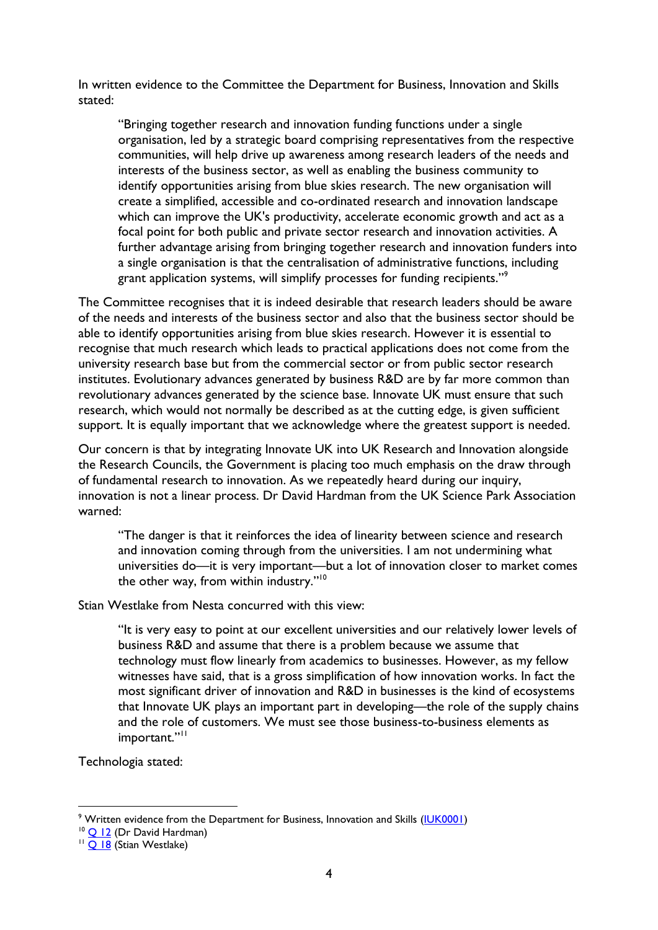In written evidence to the Committee the Department for Business, Innovation and Skills stated:

"Bringing together research and innovation funding functions under a single organisation, led by a strategic board comprising representatives from the respective communities, will help drive up awareness among research leaders of the needs and interests of the business sector, as well as enabling the business community to identify opportunities arising from blue skies research. The new organisation will create a simplified, accessible and co-ordinated research and innovation landscape which can improve the UK's productivity, accelerate economic growth and act as a focal point for both public and private sector research and innovation activities. A further advantage arising from bringing together research and innovation funders into a single organisation is that the centralisation of administrative functions, including grant application systems, will simplify processes for funding recipients."<sup>9</sup>

The Committee recognises that it is indeed desirable that research leaders should be aware of the needs and interests of the business sector and also that the business sector should be able to identify opportunities arising from blue skies research. However it is essential to recognise that much research which leads to practical applications does not come from the university research base but from the commercial sector or from public sector research institutes. Evolutionary advances generated by business R&D are by far more common than revolutionary advances generated by the science base. Innovate UK must ensure that such research, which would not normally be described as at the cutting edge, is given sufficient support. It is equally important that we acknowledge where the greatest support is needed.

Our concern is that by integrating Innovate UK into UK Research and Innovation alongside the Research Councils, the Government is placing too much emphasis on the draw through of fundamental research to innovation. As we repeatedly heard during our inquiry, innovation is not a linear process. Dr David Hardman from the UK Science Park Association warned:

"The danger is that it reinforces the idea of linearity between science and research and innovation coming through from the universities. I am not undermining what universities do—it is very important—but a lot of innovation closer to market comes the other way, from within industry."<sup>10</sup>

Stian Westlake from Nesta concurred with this view:

"It is very easy to point at our excellent universities and our relatively lower levels of business R&D and assume that there is a problem because we assume that technology must flow linearly from academics to businesses. However, as my fellow witnesses have said, that is a gross simplification of how innovation works. In fact the most significant driver of innovation and R&D in businesses is the kind of ecosystems that Innovate UK plays an important part in developing—the role of the supply chains and the role of customers. We must see those business-to-business elements as important."<sup>11</sup>

Technologia stated:

<sup>&</sup>lt;sup>9</sup> Written evidence from the Department for Business, Innovation and Skills [\(IUK0001\)](http://data.parliament.uk/writtenevidence/committeeevidence.svc/evidencedocument/science-and-technology-committee-lords/future-of-innovate-uk/written/34121.html)

<sup>&</sup>lt;sup>10</sup> [Q 12](http://data.parliament.uk/writtenevidence/committeeevidence.svc/evidencedocument/science-and-technology-committee-lords/future-of-innovate-uk/oral/34272.html) (Dr David Hardman)

<sup>&</sup>lt;sup>11</sup> O 18 (Stian Westlake)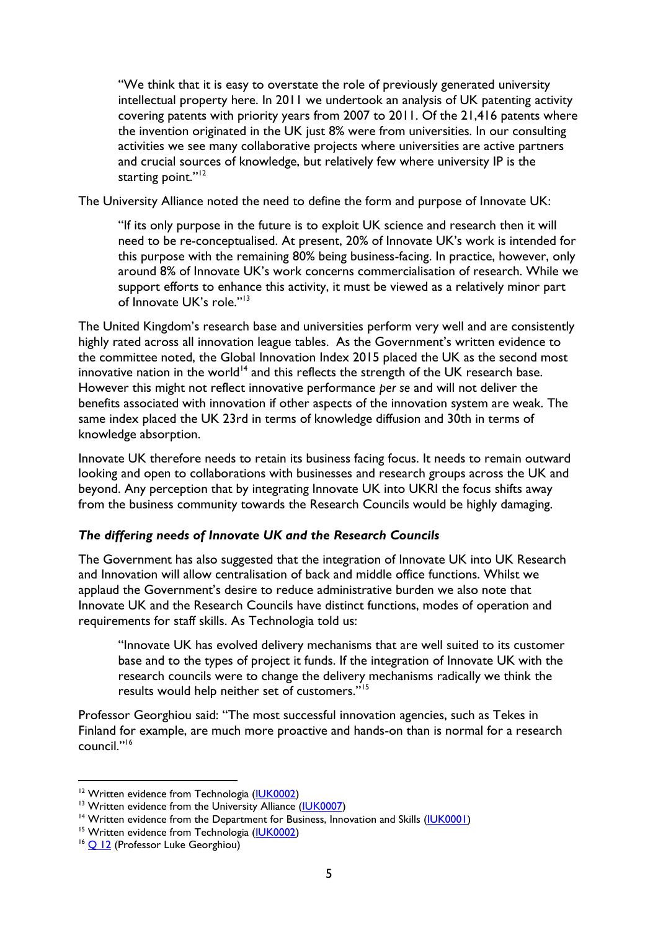"We think that it is easy to overstate the role of previously generated university intellectual property here. In 2011 we undertook an analysis of UK patenting activity covering patents with priority years from 2007 to 2011. Of the 21,416 patents where the invention originated in the UK just 8% were from universities. In our consulting activities we see many collaborative projects where universities are active partners and crucial sources of knowledge, but relatively few where university IP is the starting point."<sup>12</sup>

The University Alliance noted the need to define the form and purpose of Innovate UK:

"If its only purpose in the future is to exploit UK science and research then it will need to be re-conceptualised. At present, 20% of Innovate UK's work is intended for this purpose with the remaining 80% being business-facing. In practice, however, only around 8% of Innovate UK's work concerns commercialisation of research. While we support efforts to enhance this activity, it must be viewed as a relatively minor part of Innovate UK's role."<sup>13</sup>

The United Kingdom's research base and universities perform very well and are consistently highly rated across all innovation league tables. As the Government's written evidence to the committee noted, the Global Innovation Index 2015 placed the UK as the second most innovative nation in the world<sup>14</sup> and this reflects the strength of the UK research base. However this might not reflect innovative performance *per se* and will not deliver the benefits associated with innovation if other aspects of the innovation system are weak. The same index placed the UK 23rd in terms of knowledge diffusion and 30th in terms of knowledge absorption.

Innovate UK therefore needs to retain its business facing focus. It needs to remain outward looking and open to collaborations with businesses and research groups across the UK and beyond. Any perception that by integrating Innovate UK into UKRI the focus shifts away from the business community towards the Research Councils would be highly damaging.

# *The differing needs of Innovate UK and the Research Councils*

The Government has also suggested that the integration of Innovate UK into UK Research and Innovation will allow centralisation of back and middle office functions. Whilst we applaud the Government's desire to reduce administrative burden we also note that Innovate UK and the Research Councils have distinct functions, modes of operation and requirements for staff skills. As Technologia told us:

"Innovate UK has evolved delivery mechanisms that are well suited to its customer base and to the types of project it funds. If the integration of Innovate UK with the research councils were to change the delivery mechanisms radically we think the results would help neither set of customers."<sup>15</sup>

Professor Georghiou said: "The most successful innovation agencies, such as Tekes in Finland for example, are much more proactive and hands-on than is normal for a research council."<sup>16</sup>

<sup>&</sup>lt;sup>12</sup> Written evidence from Technologia [\(IUK0002\)](http://data.parliament.uk/writtenevidence/committeeevidence.svc/evidencedocument/science-and-technology-committee-lords/future-of-innovate-uk/written/34243.html)

<sup>&</sup>lt;sup>13</sup> Written evidence from the University Alliance [\(IUK0007\)](http://data.parliament.uk/writtenevidence/committeeevidence.svc/evidencedocument/science-and-technology-committee-lords/future-of-innovate-uk/written/34567.html)

<sup>&</sup>lt;sup>14</sup> Written evidence from the Department for Business, Innovation and Skills [\(IUK0001\)](http://data.parliament.uk/writtenevidence/committeeevidence.svc/evidencedocument/science-and-technology-committee-lords/future-of-innovate-uk/written/34121.html)

<sup>&</sup>lt;sup>15</sup> Written evidence from Technologia [\(IUK0002\)](http://data.parliament.uk/writtenevidence/committeeevidence.svc/evidencedocument/science-and-technology-committee-lords/future-of-innovate-uk/written/34243.html)

<sup>&</sup>lt;sup>16</sup> [Q 12](http://data.parliament.uk/writtenevidence/committeeevidence.svc/evidencedocument/science-and-technology-committee-lords/future-of-innovate-uk/oral/34272.html) (Professor Luke Georghiou)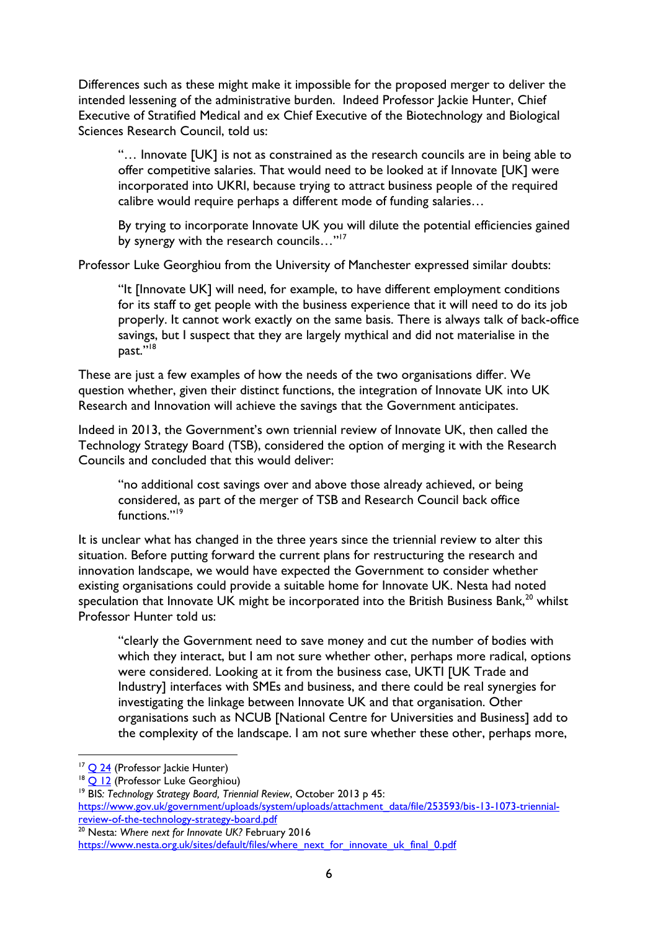Differences such as these might make it impossible for the proposed merger to deliver the intended lessening of the administrative burden. Indeed Professor Jackie Hunter, Chief Executive of Stratified Medical and ex Chief Executive of the Biotechnology and Biological Sciences Research Council, told us:

"… Innovate [UK] is not as constrained as the research councils are in being able to offer competitive salaries. That would need to be looked at if Innovate [UK] were incorporated into UKRI, because trying to attract business people of the required calibre would require perhaps a different mode of funding salaries…

By trying to incorporate Innovate UK you will dilute the potential efficiencies gained by synergy with the research councils..."<sup>17</sup>

Professor Luke Georghiou from the University of Manchester expressed similar doubts:

"It [Innovate UK] will need, for example, to have different employment conditions for its staff to get people with the business experience that it will need to do its job properly. It cannot work exactly on the same basis. There is always talk of back-office savings, but I suspect that they are largely mythical and did not materialise in the past."<sup>18</sup>

These are just a few examples of how the needs of the two organisations differ. We question whether, given their distinct functions, the integration of Innovate UK into UK Research and Innovation will achieve the savings that the Government anticipates.

Indeed in 2013, the Government's own triennial review of Innovate UK, then called the Technology Strategy Board (TSB), considered the option of merging it with the Research Councils and concluded that this would deliver:

"no additional cost savings over and above those already achieved, or being considered, as part of the merger of TSB and Research Council back office functions."<sup>19</sup>

It is unclear what has changed in the three years since the triennial review to alter this situation. Before putting forward the current plans for restructuring the research and innovation landscape, we would have expected the Government to consider whether existing organisations could provide a suitable home for Innovate UK. Nesta had noted speculation that Innovate UK might be incorporated into the British Business Bank, $^{20}$  whilst Professor Hunter told us:

"clearly the Government need to save money and cut the number of bodies with which they interact, but I am not sure whether other, perhaps more radical, options were considered. Looking at it from the business case, UKTI [UK Trade and Industry] interfaces with SMEs and business, and there could be real synergies for investigating the linkage between Innovate UK and that organisation. Other organisations such as NCUB [National Centre for Universities and Business] add to the complexity of the landscape. I am not sure whether these other, perhaps more,

 $\overline{a}$ 

<sup>20</sup> Nesta: *Where next for Innovate UK?* February 2016

```
https://www.nesta.org.uk/sites/default/files/where_next_for_innovate_uk_final_0.pdf
```
<sup>&</sup>lt;sup>17</sup> [Q 24](http://data.parliament.uk/writtenevidence/committeeevidence.svc/evidencedocument/science-and-technology-committee-lords/future-of-innovate-uk/oral/34563.html) (Professor Jackie Hunter)

<sup>&</sup>lt;sup>18</sup> O 12 (Professor Luke Georghiou)

<sup>19</sup> BIS*: Technology Strategy Board, Triennial Review*, October 2013 p 45:

[https://www.gov.uk/government/uploads/system/uploads/attachment\\_data/file/253593/bis-13-1073-triennial](https://www.gov.uk/government/uploads/system/uploads/attachment_data/file/253593/bis-13-1073-triennial-review-of-the-technology-strategy-board.pdf)[review-of-the-technology-strategy-board.pdf](https://www.gov.uk/government/uploads/system/uploads/attachment_data/file/253593/bis-13-1073-triennial-review-of-the-technology-strategy-board.pdf)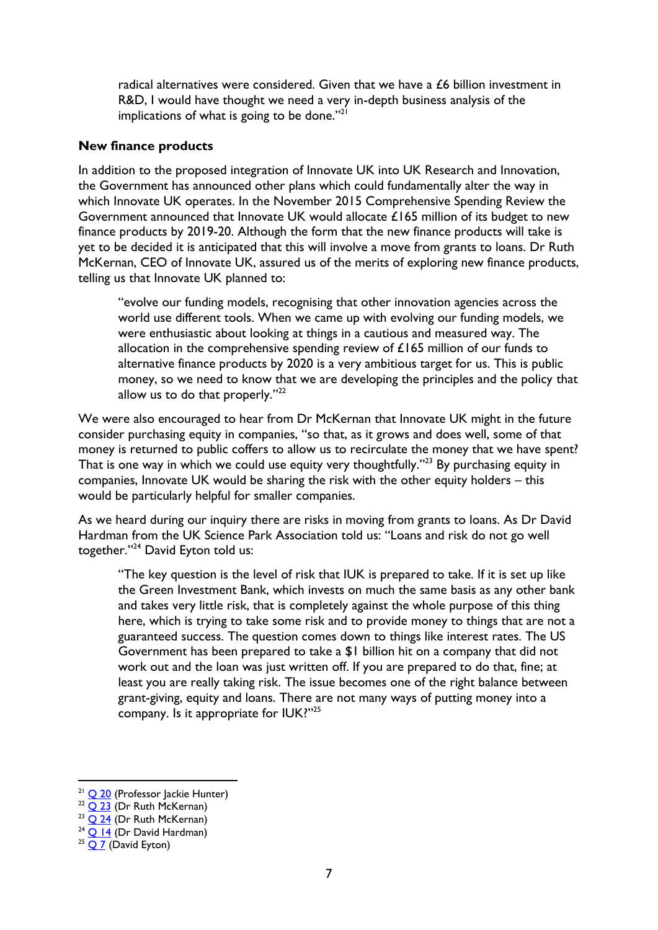radical alternatives were considered. Given that we have a £6 billion investment in R&D, I would have thought we need a very in-depth business analysis of the implications of what is going to be done." $21$ 

#### **New finance products**

In addition to the proposed integration of Innovate UK into UK Research and Innovation, the Government has announced other plans which could fundamentally alter the way in which Innovate UK operates. In the November 2015 Comprehensive Spending Review the Government announced that Innovate UK would allocate  $£165$  million of its budget to new finance products by 2019-20. Although the form that the new finance products will take is yet to be decided it is anticipated that this will involve a move from grants to loans. Dr Ruth McKernan, CEO of Innovate UK, assured us of the merits of exploring new finance products, telling us that Innovate UK planned to:

"evolve our funding models, recognising that other innovation agencies across the world use different tools. When we came up with evolving our funding models, we were enthusiastic about looking at things in a cautious and measured way. The allocation in the comprehensive spending review of £165 million of our funds to alternative finance products by 2020 is a very ambitious target for us. This is public money, so we need to know that we are developing the principles and the policy that allow us to do that properly."<sup>22</sup>

We were also encouraged to hear from Dr McKernan that Innovate UK might in the future consider purchasing equity in companies, "so that, as it grows and does well, some of that money is returned to public coffers to allow us to recirculate the money that we have spent? That is one way in which we could use equity very thoughtfully."<sup>23</sup> By purchasing equity in companies, Innovate UK would be sharing the risk with the other equity holders – this would be particularly helpful for smaller companies.

As we heard during our inquiry there are risks in moving from grants to loans. As Dr David Hardman from the UK Science Park Association told us: "Loans and risk do not go well together."<sup>24</sup> David Eyton told us:

"The key question is the level of risk that IUK is prepared to take. If it is set up like the Green Investment Bank, which invests on much the same basis as any other bank and takes very little risk, that is completely against the whole purpose of this thing here, which is trying to take some risk and to provide money to things that are not a guaranteed success. The question comes down to things like interest rates. The US Government has been prepared to take a \$1 billion hit on a company that did not work out and the loan was just written off. If you are prepared to do that, fine; at least you are really taking risk. The issue becomes one of the right balance between grant-giving, equity and loans. There are not many ways of putting money into a company. Is it appropriate for IUK?"25

 $21$  [Q 20](http://data.parliament.uk/writtenevidence/committeeevidence.svc/evidencedocument/science-and-technology-committee-lords/future-of-innovate-uk/oral/34563.html) (Professor Jackie Hunter)

 $22$  [Q 23](http://data.parliament.uk/writtenevidence/committeeevidence.svc/evidencedocument/science-and-technology-committee-lords/future-of-innovate-uk/oral/34563.html) (Dr Ruth McKernan)

 $23$  Q  $24$  (Dr Ruth McKernan)

 $24$  O 14 (Dr David Hardman)

 $25$  [Q 7](http://data.parliament.uk/writtenevidence/committeeevidence.svc/evidencedocument/science-and-technology-committee-lords/future-of-innovate-uk/oral/34271.html) (David Eyton)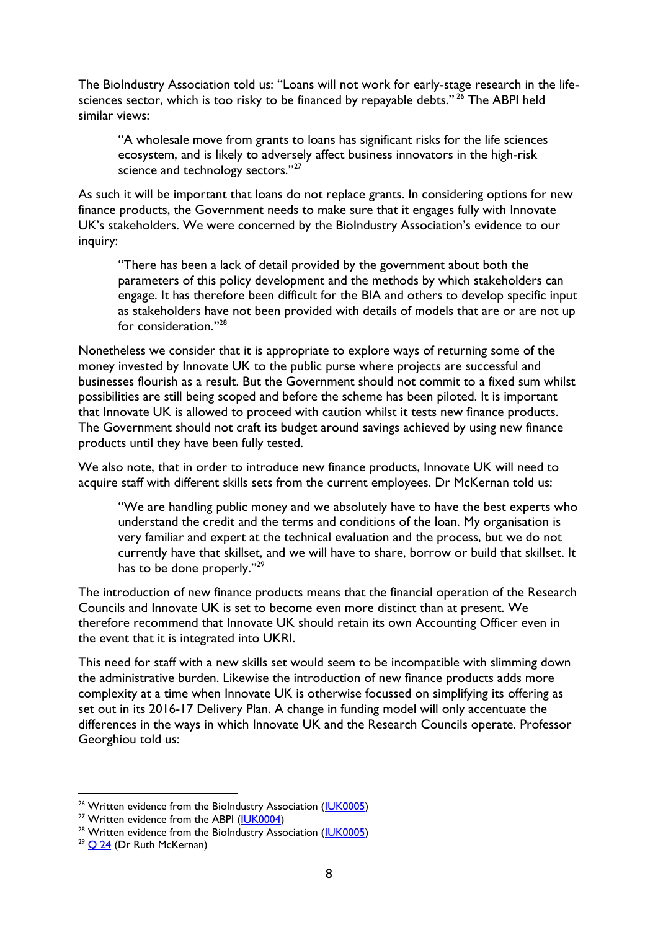The BioIndustry Association told us: "Loans will not work for early-stage research in the lifesciences sector, which is too risky to be financed by repayable debts."<sup>26</sup> The ABPI held similar views:

"A wholesale move from grants to loans has significant risks for the life sciences ecosystem, and is likely to adversely affect business innovators in the high-risk science and technology sectors."<sup>27</sup>

As such it will be important that loans do not replace grants. In considering options for new finance products, the Government needs to make sure that it engages fully with Innovate UK's stakeholders. We were concerned by the BioIndustry Association's evidence to our inquiry:

"There has been a lack of detail provided by the government about both the parameters of this policy development and the methods by which stakeholders can engage. It has therefore been difficult for the BIA and others to develop specific input as stakeholders have not been provided with details of models that are or are not up for consideration."<sup>28</sup>

Nonetheless we consider that it is appropriate to explore ways of returning some of the money invested by Innovate UK to the public purse where projects are successful and businesses flourish as a result. But the Government should not commit to a fixed sum whilst possibilities are still being scoped and before the scheme has been piloted. It is important that Innovate UK is allowed to proceed with caution whilst it tests new finance products. The Government should not craft its budget around savings achieved by using new finance products until they have been fully tested.

We also note, that in order to introduce new finance products, Innovate UK will need to acquire staff with different skills sets from the current employees. Dr McKernan told us:

"We are handling public money and we absolutely have to have the best experts who understand the credit and the terms and conditions of the loan. My organisation is very familiar and expert at the technical evaluation and the process, but we do not currently have that skillset, and we will have to share, borrow or build that skillset. It has to be done properly."<sup>29</sup>

The introduction of new finance products means that the financial operation of the Research Councils and Innovate UK is set to become even more distinct than at present. We therefore recommend that Innovate UK should retain its own Accounting Officer even in the event that it is integrated into UKRI.

This need for staff with a new skills set would seem to be incompatible with slimming down the administrative burden. Likewise the introduction of new finance products adds more complexity at a time when Innovate UK is otherwise focussed on simplifying its offering as set out in its 2016-17 Delivery Plan. A change in funding model will only accentuate the differences in the ways in which Innovate UK and the Research Councils operate. Professor Georghiou told us:

<sup>&</sup>lt;sup>26</sup> Written evidence from the BioIndustry Association [\(IUK0005\)](http://data.parliament.uk/writtenevidence/committeeevidence.svc/evidencedocument/science-and-technology-committee-lords/future-of-innovate-uk/written/34318.html)

<sup>&</sup>lt;sup>27</sup> Written evidence from the ABPI [\(IUK0004\)](http://data.parliament.uk/writtenevidence/committeeevidence.svc/evidencedocument/science-and-technology-committee-lords/future-of-innovate-uk/written/34307.html)

<sup>&</sup>lt;sup>28</sup> Written evidence from the BioIndustry Association [\(IUK0005\)](http://data.parliament.uk/writtenevidence/committeeevidence.svc/evidencedocument/science-and-technology-committee-lords/future-of-innovate-uk/written/34318.html)

 $29$  [Q 24](http://data.parliament.uk/writtenevidence/committeeevidence.svc/evidencedocument/science-and-technology-committee-lords/future-of-innovate-uk/oral/34563.html) (Dr Ruth McKernan)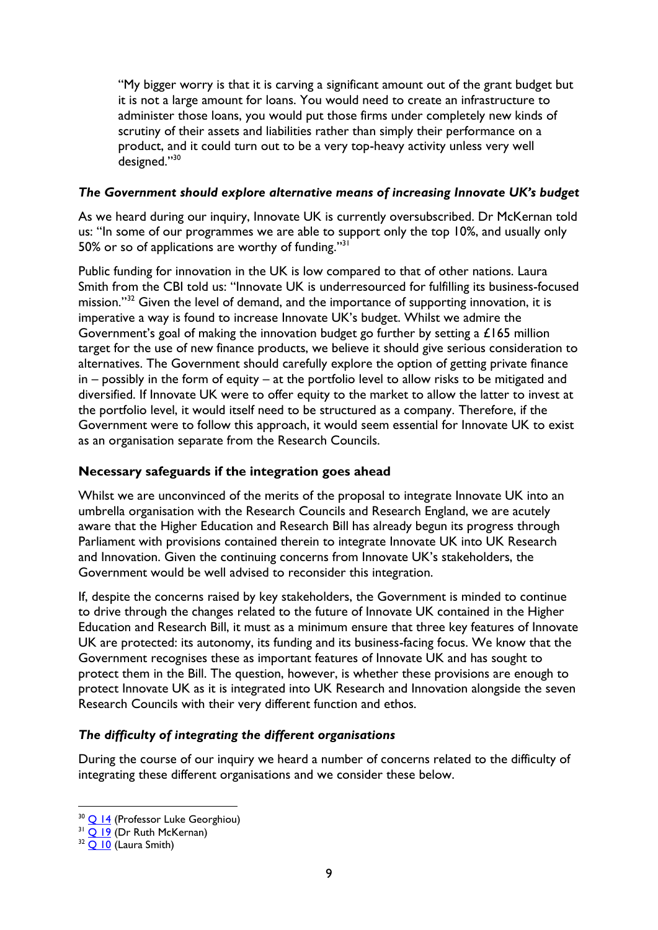"My bigger worry is that it is carving a significant amount out of the grant budget but it is not a large amount for loans. You would need to create an infrastructure to administer those loans, you would put those firms under completely new kinds of scrutiny of their assets and liabilities rather than simply their performance on a product, and it could turn out to be a very top-heavy activity unless very well designed."<sup>30</sup>

## *The Government should explore alternative means of increasing Innovate UK's budget*

As we heard during our inquiry, Innovate UK is currently oversubscribed. Dr McKernan told us: "In some of our programmes we are able to support only the top 10%, and usually only 50% or so of applications are worthy of funding."<sup>31</sup>

Public funding for innovation in the UK is low compared to that of other nations. Laura Smith from the CBI told us: "Innovate UK is underresourced for fulfilling its business-focused mission."<sup>32</sup> Given the level of demand, and the importance of supporting innovation, it is imperative a way is found to increase Innovate UK's budget. Whilst we admire the Government's goal of making the innovation budget go further by setting a £165 million target for the use of new finance products, we believe it should give serious consideration to alternatives. The Government should carefully explore the option of getting private finance in – possibly in the form of equity – at the portfolio level to allow risks to be mitigated and diversified. If Innovate UK were to offer equity to the market to allow the latter to invest at the portfolio level, it would itself need to be structured as a company. Therefore, if the Government were to follow this approach, it would seem essential for Innovate UK to exist as an organisation separate from the Research Councils.

## **Necessary safeguards if the integration goes ahead**

Whilst we are unconvinced of the merits of the proposal to integrate Innovate UK into an umbrella organisation with the Research Councils and Research England, we are acutely aware that the Higher Education and Research Bill has already begun its progress through Parliament with provisions contained therein to integrate Innovate UK into UK Research and Innovation. Given the continuing concerns from Innovate UK's stakeholders, the Government would be well advised to reconsider this integration.

If, despite the concerns raised by key stakeholders, the Government is minded to continue to drive through the changes related to the future of Innovate UK contained in the Higher Education and Research Bill, it must as a minimum ensure that three key features of Innovate UK are protected: its autonomy, its funding and its business-facing focus. We know that the Government recognises these as important features of Innovate UK and has sought to protect them in the Bill. The question, however, is whether these provisions are enough to protect Innovate UK as it is integrated into UK Research and Innovation alongside the seven Research Councils with their very different function and ethos.

#### *The difficulty of integrating the different organisations*

During the course of our inquiry we heard a number of concerns related to the difficulty of integrating these different organisations and we consider these below.

<sup>&</sup>lt;sup>30</sup> [Q 14](http://data.parliament.uk/writtenevidence/committeeevidence.svc/evidencedocument/science-and-technology-committee-lords/future-of-innovate-uk/oral/34272.html) (Professor Luke Georghiou)

 $31$  [Q 19](http://data.parliament.uk/writtenevidence/committeeevidence.svc/evidencedocument/science-and-technology-committee-lords/future-of-innovate-uk/oral/34563.html) (Dr Ruth McKernan)

 $32$  O 10 (Laura Smith)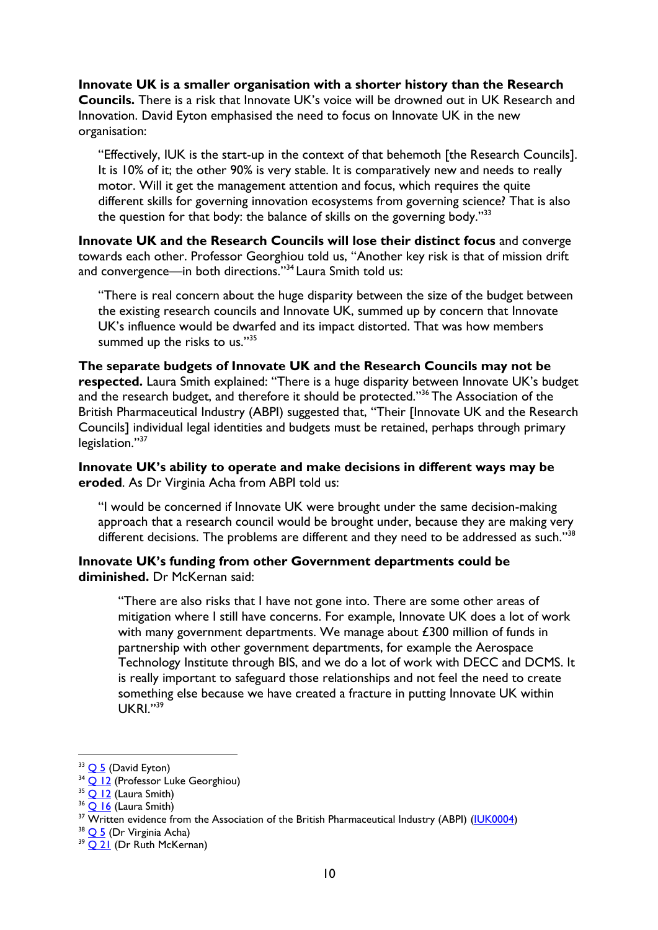**Innovate UK is a smaller organisation with a shorter history than the Research Councils.** There is a risk that Innovate UK's voice will be drowned out in UK Research and Innovation. David Eyton emphasised the need to focus on Innovate UK in the new organisation:

"Effectively, IUK is the start-up in the context of that behemoth [the Research Councils]. It is 10% of it; the other 90% is very stable. It is comparatively new and needs to really motor. Will it get the management attention and focus, which requires the quite different skills for governing innovation ecosystems from governing science? That is also the question for that body: the balance of skills on the governing body."33

**Innovate UK and the Research Councils will lose their distinct focus** and converge towards each other. Professor Georghiou told us, "Another key risk is that of mission drift and convergence—in both directions.''<sup>34</sup> Laura Smith told us:

"There is real concern about the huge disparity between the size of the budget between the existing research councils and Innovate UK, summed up by concern that Innovate UK's influence would be dwarfed and its impact distorted. That was how members summed up the risks to us."<sup>35</sup>

**The separate budgets of Innovate UK and the Research Councils may not be respected.** Laura Smith explained: "There is a huge disparity between Innovate UK's budget and the research budget, and therefore it should be protected."<sup>36</sup> The Association of the British Pharmaceutical Industry (ABPI) suggested that, "Their [Innovate UK and the Research Councils] individual legal identities and budgets must be retained, perhaps through primary legislation."<sup>37</sup>

## **Innovate UK's ability to operate and make decisions in different ways may be eroded**. As Dr Virginia Acha from ABPI told us:

"I would be concerned if Innovate UK were brought under the same decision-making approach that a research council would be brought under, because they are making very different decisions. The problems are different and they need to be addressed as such."<sup>38</sup>

## **Innovate UK's funding from other Government departments could be diminished.** Dr McKernan said:

"There are also risks that I have not gone into. There are some other areas of mitigation where I still have concerns. For example, Innovate UK does a lot of work with many government departments. We manage about £300 million of funds in partnership with other government departments, for example the Aerospace Technology Institute through BIS, and we do a lot of work with DECC and DCMS. It is really important to safeguard those relationships and not feel the need to create something else because we have created a fracture in putting Innovate UK within UKRI."<sup>39</sup>

 $33$  [Q 5](http://data.parliament.uk/writtenevidence/committeeevidence.svc/evidencedocument/science-and-technology-committee-lords/future-of-innovate-uk/oral/34271.html) (David Eyton)

<sup>&</sup>lt;sup>34</sup> [Q 12](http://data.parliament.uk/writtenevidence/committeeevidence.svc/evidencedocument/science-and-technology-committee-lords/future-of-innovate-uk/oral/34272.html) (Professor Luke Georghiou)

 $35$  O 12 (Laura Smith)

<sup>&</sup>lt;sup>36</sup> O 16 (Laura Smith)

<sup>&</sup>lt;sup>37</sup> Written evidence from the Association of the British Pharmaceutical Industry (ABPI) [\(IUK0004\)](http://data.parliament.uk/writtenevidence/committeeevidence.svc/evidencedocument/science-and-technology-committee-lords/future-of-innovate-uk/written/34307.html)

 $38$  O 5 (Dr Virginia Acha)

<sup>&</sup>lt;sup>39</sup> O 21 (Dr Ruth McKernan)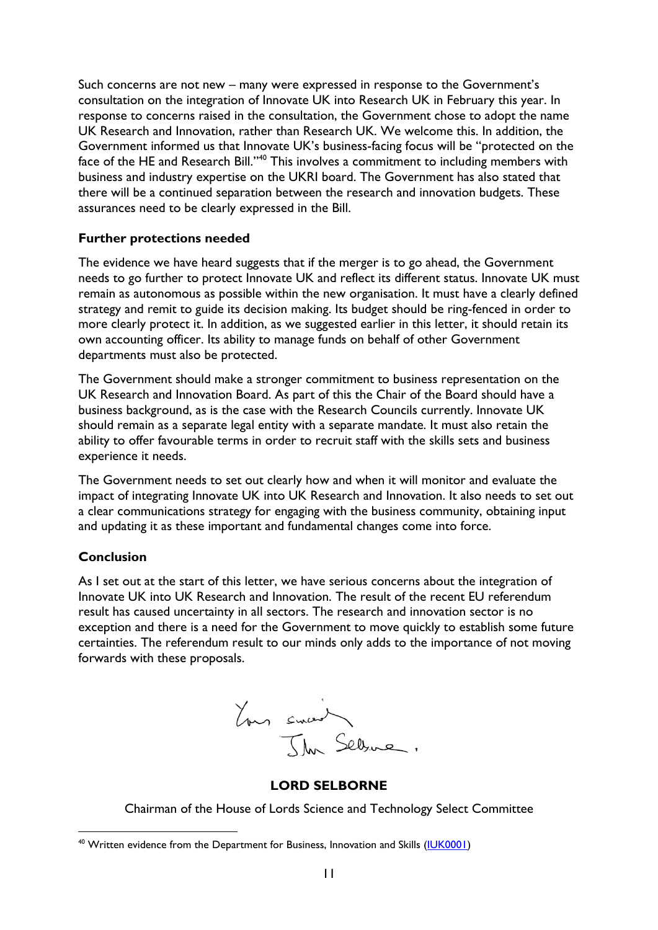Such concerns are not new – many were expressed in response to the Government's consultation on the integration of Innovate UK into Research UK in February this year. In response to concerns raised in the consultation, the Government chose to adopt the name UK Research and Innovation, rather than Research UK. We welcome this. In addition, the Government informed us that Innovate UK's business-facing focus will be "protected on the face of the HE and Research Bill."<sup>40</sup> This involves a commitment to including members with business and industry expertise on the UKRI board. The Government has also stated that there will be a continued separation between the research and innovation budgets. These assurances need to be clearly expressed in the Bill.

## **Further protections needed**

The evidence we have heard suggests that if the merger is to go ahead, the Government needs to go further to protect Innovate UK and reflect its different status. Innovate UK must remain as autonomous as possible within the new organisation. It must have a clearly defined strategy and remit to guide its decision making. Its budget should be ring-fenced in order to more clearly protect it. In addition, as we suggested earlier in this letter, it should retain its own accounting officer. Its ability to manage funds on behalf of other Government departments must also be protected.

The Government should make a stronger commitment to business representation on the UK Research and Innovation Board. As part of this the Chair of the Board should have a business background, as is the case with the Research Councils currently. Innovate UK should remain as a separate legal entity with a separate mandate. It must also retain the ability to offer favourable terms in order to recruit staff with the skills sets and business experience it needs.

The Government needs to set out clearly how and when it will monitor and evaluate the impact of integrating Innovate UK into UK Research and Innovation. It also needs to set out a clear communications strategy for engaging with the business community, obtaining input and updating it as these important and fundamental changes come into force.

# **Conclusion**

 $\overline{a}$ 

As I set out at the start of this letter, we have serious concerns about the integration of Innovate UK into UK Research and Innovation. The result of the recent EU referendum result has caused uncertainty in all sectors. The research and innovation sector is no exception and there is a need for the Government to move quickly to establish some future certainties. The referendum result to our minds only adds to the importance of not moving forwards with these proposals.



#### **LORD SELBORNE**

Chairman of the House of Lords Science and Technology Select Committee

<sup>&</sup>lt;sup>40</sup> Written evidence from the Department for Business, Innovation and Skills [\(IUK0001\)](http://data.parliament.uk/writtenevidence/committeeevidence.svc/evidencedocument/science-and-technology-committee-lords/future-of-innovate-uk/written/34121.html)